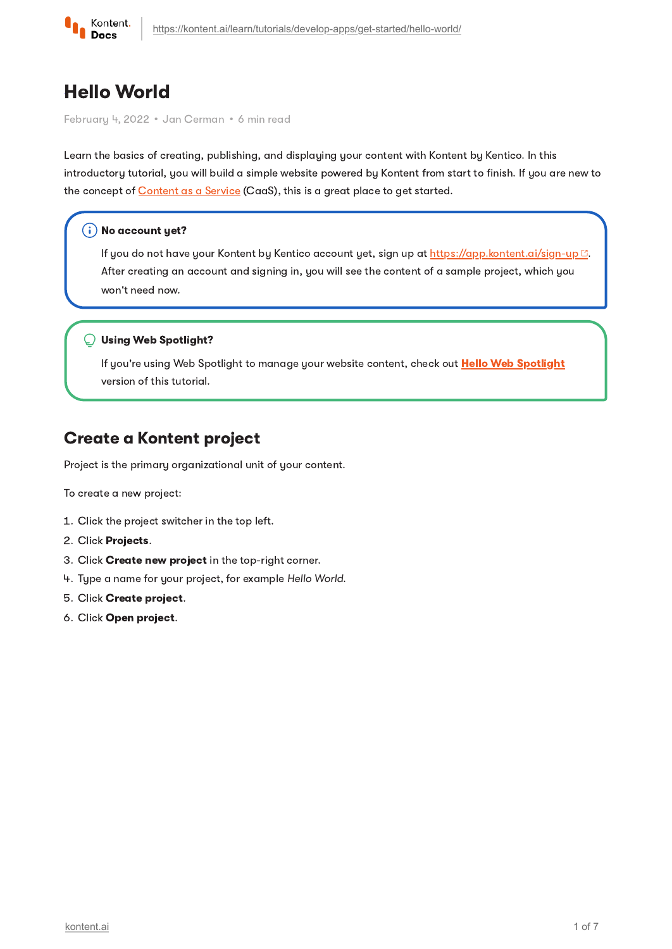

# Hello World

February 4, 2022 · Jan Cerman · 6 min read

Learn the basics of creating, publishing, and displaying your content with Kontent by Kentico. In this introductory tutorial, you will build a simple website powered by Kontent from start to finish. If you are new to the concept of [Content](https://kontent.ai/learn/tutorials/start-with-kontent/what-is-content-as-a-service/) as a Service (CaaS), this is a great place to get started.

#### $(i)$  No account yet?

If you do not have your Kontent by Kentico account yet, sign up at [https://app.kontent.ai/sign-up](https://app.kenticocloud.com/sign-up) ... After creating an account and signing in, you will see the content of a sample project, which you won't need now.

#### Using Web Spotlight?

If you're using Web [Spotlight](https://kontent.ai/learn/tutorials/develop-apps/get-started/hello-web-spotlight/) to manage your website content, check out Hello Web Spotlight version of this tutorial.

# Create a Kontent project

Project is the primary organizational unit of your content.

To create a new project:

- 1. Click the project switcher in the top left.
- 2. Click Projects.
- 3. Click Create new project in the top-right corner.
- 4 Type a name for your project, for example Hello World.
- 5. Click Create project.
- 6. Click Open project.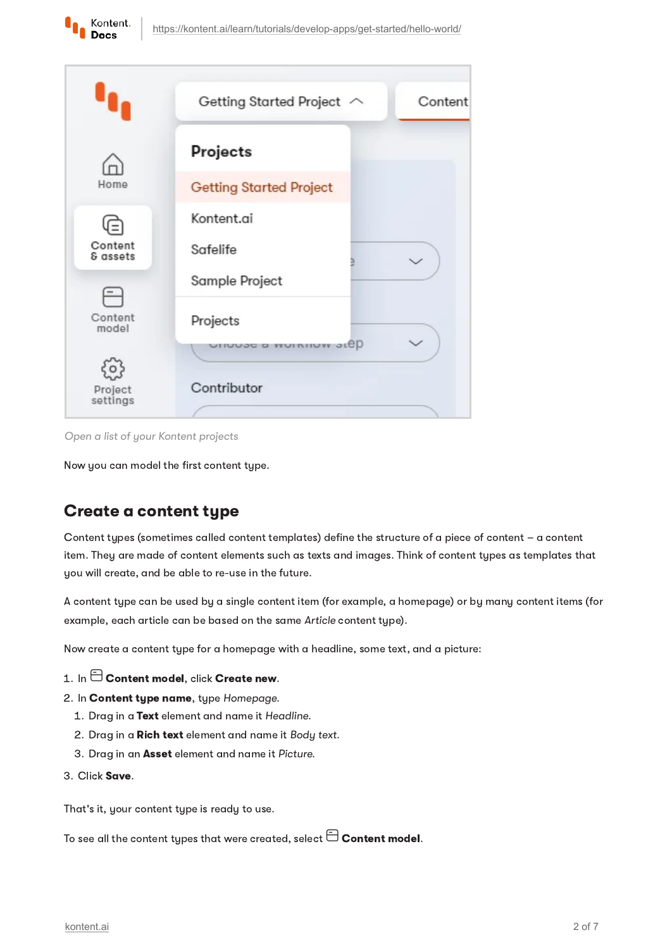



Open a list of your Kontent projects

Now you can model the first content type.

# Create a content type

Content types (sometimes called content templates) define the structure of a piece of content – a content item. They are made of content elements such as texts and images. Think of content types as templates that you will create, and be able to re-use in the future.

A content type can be used by a single content item (for example, a homepage) or by many content items (for example, each article can be based on the same Article content type).

Now create a content type for a homepage with a headline, some text, and a picture:

- 1. In  $\boxminus$  Content model, click Create new.
- 2. In Content type name, type Homepage.
	- 1. Drag in a Text element and name it Headline.
	- 2. Drag in a Rich text element and name it Body text.
	- 3. Drag in an Asset element and name it Picture.
- Click Save.

That's it, your content type is ready to use.

To see all the content types that were created, select  $\boxminus$  Content model.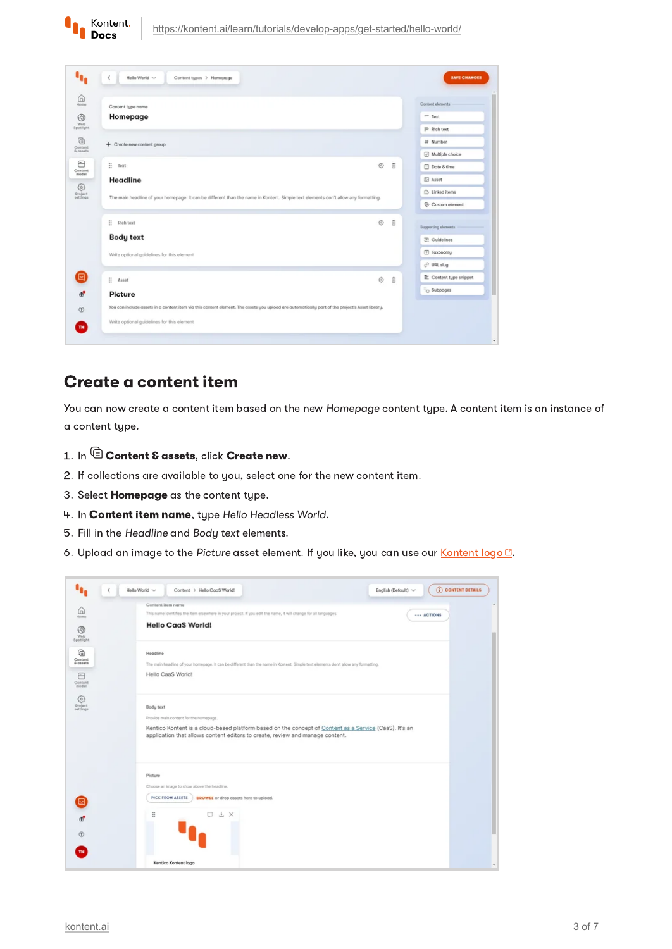

|                                                                                                                                                 |                      | Content elements         |
|-------------------------------------------------------------------------------------------------------------------------------------------------|----------------------|--------------------------|
| Content type name<br>Homepage                                                                                                                   |                      | $=$ Text                 |
|                                                                                                                                                 |                      | P Rich text              |
| + Create new content group                                                                                                                      |                      | # Number                 |
|                                                                                                                                                 |                      | Multiple choice          |
| Ξ<br>Text                                                                                                                                       | $\ddot{\theta}$<br>Ò | <b>□ Date &amp; time</b> |
| Headline                                                                                                                                        |                      | <b>B</b> Asset           |
| The main headline of your homepage. It can be different than the name in Kontent. Simple text elements don't allow any formatting.              |                      | $\bigcirc$ Linked items  |
|                                                                                                                                                 |                      | Custom element           |
| ÷<br>Rich text                                                                                                                                  | ◎ 自                  | Supporting alaments      |
| <b>Body text</b>                                                                                                                                |                      | 空 Guidelines             |
| Write optional guidelines for this element                                                                                                      |                      | El Taxonomy              |
|                                                                                                                                                 |                      | C URL slug               |
| ÷<br>Asset                                                                                                                                      | ⊙<br>$\ddot{a}$      | Content type snippet     |
| Picture                                                                                                                                         |                      | C Subpages               |
| You can include assets in a content item via this content element. The assets you upload are automatically part of the project's Asset library. |                      |                          |
| Write optional guidelines for this element                                                                                                      |                      |                          |

#### Create a content item

You can now create a content item based on the new Homepage content type. A content item is an instance of a content type.

- 1. In  $@$  Content & assets, click Create new.
- 2. If collections are available to you, select one for the new content item.
- 3. Select **Homepage** as the content type.
- 4. In Content item name, type Hello Headless World.
- 5 Fill in the Headline and Body text elements.
- 6. Upload an image to the Picture asset element. If you like, you can use our [Kontent](https://assets-us-01.kc-usercontent.com/ad858591-7c5b-00e9-52c1-796f3aebc535/51ae7f7d-e318-4b75-a1f4-624d6d0b093b/kontent-by-kentico-logo.png) logo ...

| $\omega$<br>Home<br>⊛                                                 | Content item name<br>This name identifies the item elsewhere in your project. If you edit the name, it will change for all languages.<br>ACTIONS<br><b>Hello CaaS World!</b>                                                                   |
|-----------------------------------------------------------------------|------------------------------------------------------------------------------------------------------------------------------------------------------------------------------------------------------------------------------------------------|
| Web<br>Spotlight<br>℮<br>Content<br>6 essets<br>⊟<br>Content<br>model | Headline<br>The main headline of your homepage. It can be different than the name in Kontent. Simple text elements don't allow any formatting.<br>Hello CaaS World!                                                                            |
| EC <sub>2</sub><br>Project<br>settings                                | Body text<br>Provide main content for the homepage.<br>Kentico Kontent is a cloud-based platform based on the concept of Content as a Service (CaaS). It's an<br>application that allows content editors to create, review and manage content. |
| ď<br>o                                                                | Picture<br>Choose an image to show above the headline.<br>PICK FROM ASSETS<br><b>EROWSE</b> or drop assets here to upload.<br>ö<br>D Ł X                                                                                                       |
| TN                                                                    | Kentico Kontent logo                                                                                                                                                                                                                           |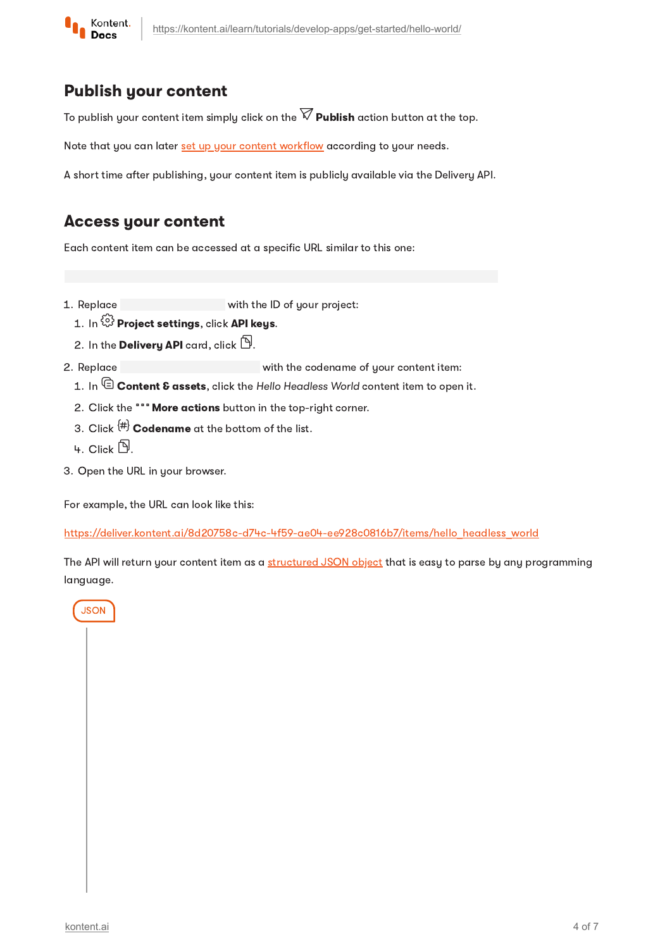

### Publish your content

To publish your content item simply click on the  $\widehat{\nabla}$  **Publish** action button at the top.

Note that you can later set up your content [workflow](https://kontent.ai/learn/tutorials/manage-kontent/roles-and-workflow/manage-workflows/) according to your needs.

A short time after publishing, your content item is publicly available via the Delivery API.

## Access your content

Each content item can be accessed at a specific URL similar to this one:

- 1 Replace with the ID of your project:
	- 1. In  $\widehat{\mathbb{G}}$  Project settings, click API keys.
	-
- 2. In the **Delivery API** card, click  $\mathbb{\mathbb{D}}.$ <br>Replace<br>1. In  $\mathbb{\mathbb{G}}$  **Content & assets**, click the 2 Replace with the codename of your content item:
	- 1. In  $\mathbb \widehat \Xi$  Content & assets, click the Hello Headless World content item to open it.
	- 2. Click the """ **More actions** button in the top-right corner.
	- 3. Click  $^{\{\!\#\!\}}$  Codename at the bottom of the list.
	- Կ. Click  $\mathbb B.$
- 3. Open the URL in your browser.

For example, the URL can look like this:

[https://deliver.kontent.ai/8d20758c-d74c-4f59-ae04-ee928c0816b7/items/hello\\_headless\\_world](https://deliver.kontent.ai/8d20758c-d74c-4f59-ae04-ee928c0816b7/items/hello_headless_world)

The API will return your content item as a [structured](https://kontent.ai/learn/reference/delivery-api/#tag/Content-items) JSON object that is easy to parse by any programming language.

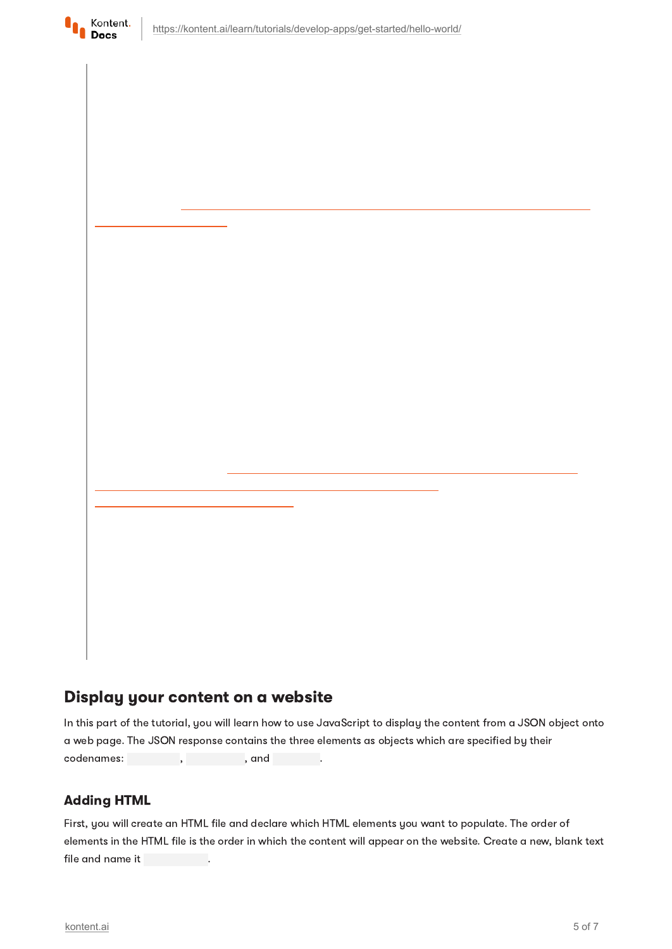

# Display your content on a website

In this part of the tutorial, you will learn how to use JavaScript to display the content from a JSON object onto a web page. The JSON response contains the three elements as objects which are specified by their codenames: , , , , , and

#### Adding HTML

First, you will create an HTML file and declare which HTML elements you want to populate. The order of elements in the HTML file is the order in which the content will appear on the website. Create a new, blank text file and name it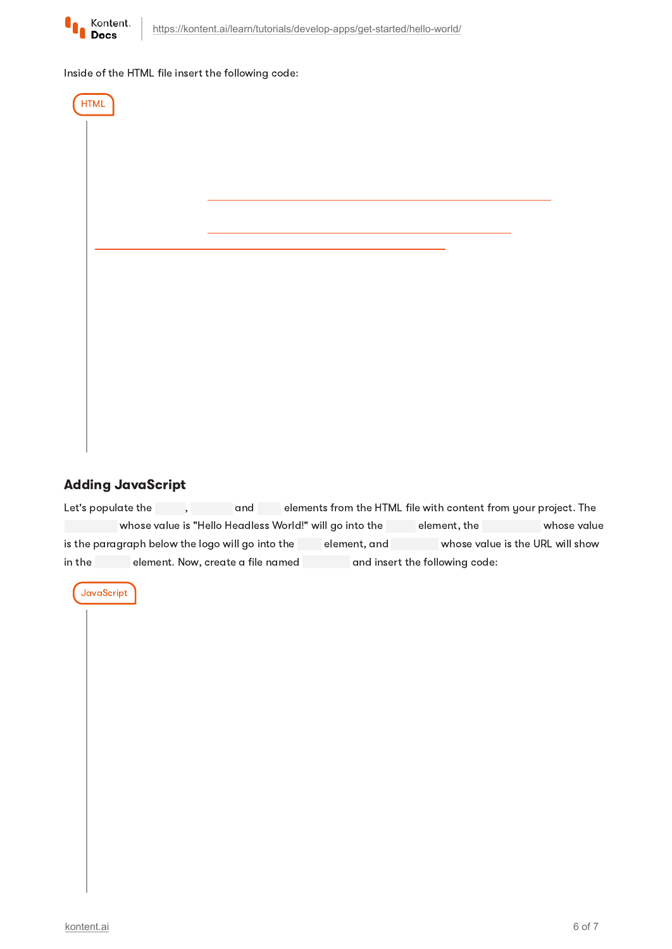

#### Inside of the HTML file insert the following code:



#### Adding JavaScript

Let's populate the , and elements from the HTML file with content from your project. The whose value is "Hello Headless World!" will go into the element, the whose value is the paragraph below the logo will go into the element, and whose value is the URL will show in the element. Now, create a file named and insert the following code:

**JavaScript**